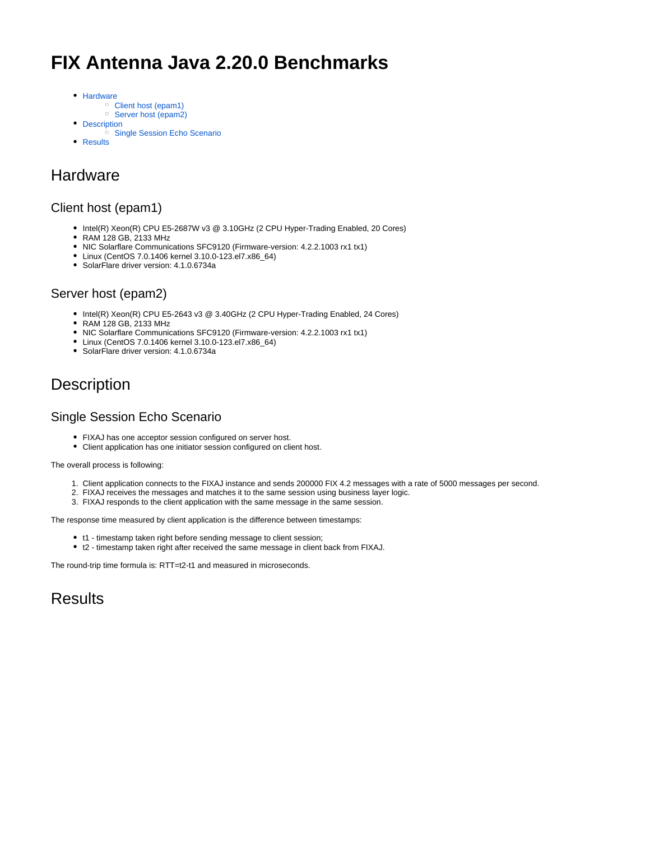# **FIX Antenna Java 2.20.0 Benchmarks**

- [Hardware](#page-0-0)
	- [Client host \(epam1\)](#page-0-1)
	- <sup>o</sup> [Server host \(epam2\)](#page-0-2)
- [Description](#page-0-3)
	- <sup>o</sup> [Single Session Echo Scenario](#page-0-4)
- [Results](#page-0-5)

### <span id="page-0-0"></span>**Hardware**

#### <span id="page-0-1"></span>Client host (epam1)

- Intel(R) Xeon(R) CPU E5-2687W v3 @ 3.10GHz (2 CPU Hyper-Trading Enabled, 20 Cores)
- RAM 128 GB, 2133 MHz
- NIC Solarflare Communications SFC9120 (Firmware-version: 4.2.2.1003 rx1 tx1)
- Linux (CentOS 7.0.1406 kernel 3.10.0-123.el7.x86\_64)
- SolarFlare driver version: 4.1.0.6734a

#### <span id="page-0-2"></span>Server host (epam2)

- Intel(R) Xeon(R) CPU E5-2643 v3 @ 3.40GHz (2 CPU Hyper-Trading Enabled, 24 Cores)
- RAM 128 GB, 2133 MHz
- NIC Solarflare Communications SFC9120 (Firmware-version: 4.2.2.1003 rx1 tx1)
- Linux (CentOS 7.0.1406 kernel 3.10.0-123.el7.x86\_64)
- SolarFlare driver version: 4.1.0.6734a

## <span id="page-0-3"></span>**Description**

#### <span id="page-0-4"></span>Single Session Echo Scenario

- FIXAJ has one acceptor session configured on server host.
- Client application has one initiator session configured on client host.

The overall process is following:

- 1. Client application connects to the FIXAJ instance and sends 200000 FIX 4.2 messages with a rate of 5000 messages per second.
- 2. FIXAJ receives the messages and matches it to the same session using business layer logic.
- 3. FIXAJ responds to the client application with the same message in the same session.

The response time measured by client application is the difference between timestamps:

- t1 timestamp taken right before sending message to client session;
- t2 timestamp taken right after received the same message in client back from FIXAJ.

The round-trip time formula is: RTT=t2-t1 and measured in microseconds.

<span id="page-0-5"></span>**Results**